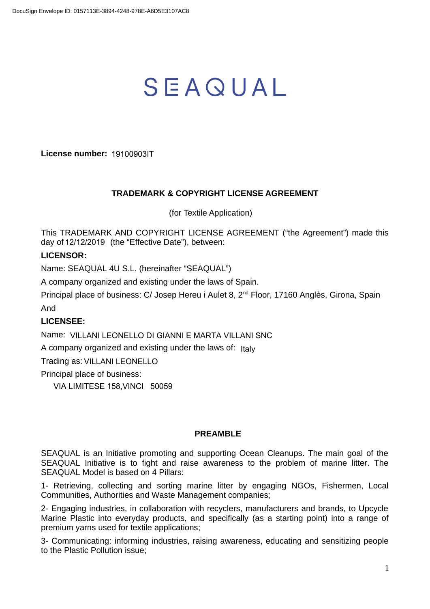# SEAQUAL

**License number:** 19100903IT

## **TRADEMARK & COPYRIGHT LICENSE AGREEMENT**

(for Textile Application)

This TRADEMARK AND COPYRIGHT LICENSE AGREEMENT ("the Agreement") made this day of 12/12/2019 (the "Effective Date"), between:

# **LICENSOR:**

Name: SEAQUAL 4U S.L. (hereinafter "SEAQUAL")

A company organized and existing under the laws of Spain.

Principal place of business: C/ Josep Hereu i Aulet 8, 2<sup>nd</sup> Floor, 17160 Anglès, Girona, Spain And

# **LICENSEE:**

Name: VILLANI LEONELLO DI GIANNI E MARTA VILLANI SNC

A company organized and existing under the laws of: Italy

Trading as: VILLANI LEONELLO

Principal place of business:

VIA LIMITESE 158,VINCI 50059

#### **PREAMBLE**

SEAQUAL is an Initiative promoting and supporting Ocean Cleanups. The main goal of the SEAQUAL Initiative is to fight and raise awareness to the problem of marine litter. The SEAQUAL Model is based on 4 Pillars:

1- Retrieving, collecting and sorting marine litter by engaging NGOs, Fishermen, Local Communities, Authorities and Waste Management companies;

2- Engaging industries, in collaboration with recyclers, manufacturers and brands, to Upcycle Marine Plastic into everyday products, and specifically (as a starting point) into a range of premium yarns used for textile applications;

3- Communicating: informing industries, raising awareness, educating and sensitizing people to the Plastic Pollution issue;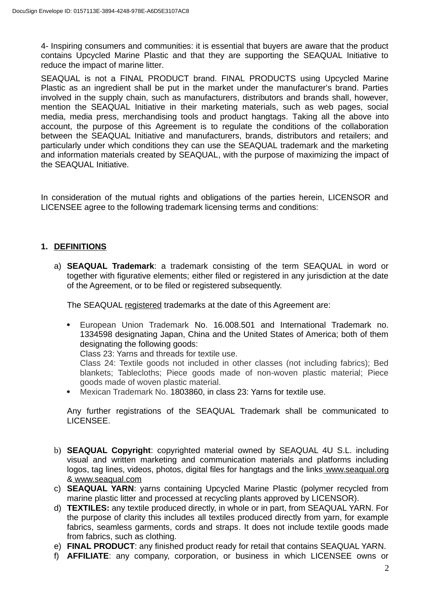4- Inspiring consumers and communities: it is essential that buyers are aware that the product contains Upcycled Marine Plastic and that they are supporting the SEAQUAL Initiative to reduce the impact of marine litter.

SEAQUAL is not a FINAL PRODUCT brand. FINAL PRODUCTS using Upcycled Marine Plastic as an ingredient shall be put in the market under the manufacturer's brand. Parties involved in the supply chain, such as manufacturers, distributors and brands shall, however, mention the SEAQUAL Initiative in their marketing materials, such as web pages, social media, media press, merchandising tools and product hangtags. Taking all the above into account, the purpose of this Agreement is to regulate the conditions of the collaboration between the SEAQUAL Initiative and manufacturers, brands, distributors and retailers; and particularly under which conditions they can use the SEAQUAL trademark and the marketing and information materials created by SEAQUAL, with the purpose of maximizing the impact of the SEAQUAL Initiative.

In consideration of the mutual rights and obligations of the parties herein, LICENSOR and LICENSEE agree to the following trademark licensing terms and conditions:

## **1. DEFINITIONS**

a) **SEAQUAL Trademark**: a trademark consisting of the term SEAQUAL in word or together with figurative elements; either filed or registered in any jurisdiction at the date of the Agreement, or to be filed or registered subsequently.

The SEAQUAL registered trademarks at the date of this Agreement are:

 European Union Trademark No. 16.008.501 and International Trademark no. 1334598 designating Japan, China and the United States of America; both of them designating the following goods:

Class 23: Yarns and threads for textile use.

Class 24: Textile goods not included in other classes (not including fabrics); Bed blankets; Tablecloths; Piece goods made of non-woven plastic material; Piece goods made of woven plastic material.

Mexican Trademark No. 1803860, in class 23: Yarns for textile use.

Any further registrations of the SEAQUAL Trademark shall be communicated to LICENSEE.

- b) **SEAQUAL Copyright**: copyrighted material owned by SEAQUAL 4U S.L. including visual and written marketing and communication materials and platforms including logos, tag lines, videos, photos, digital files for hangtags and the links www.seaqual.org & www.seaqual.com
- c) **SEAQUAL YARN**: yarns containing Upcycled Marine Plastic (polymer recycled from marine plastic litter and processed at recycling plants approved by LICENSOR).
- d) **TEXTILES:** any textile produced directly, in whole or in part, from SEAQUAL YARN. For the purpose of clarity this includes all textiles produced directly from yarn, for example fabrics, seamless garments, cords and straps. It does not include textile goods made from fabrics, such as clothing.
- e) **FINAL PRODUCT**: any finished product ready for retail that contains SEAQUAL YARN.
- f) **AFFILIATE**: any company, corporation, or business in which LICENSEE owns or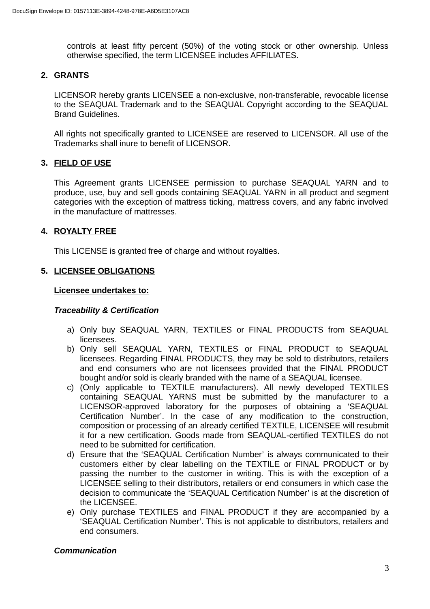controls at least fifty percent (50%) of the voting stock or other ownership. Unless otherwise specified, the term LICENSEE includes AFFILIATES.

## **2. GRANTS**

LICENSOR hereby grants LICENSEE a non-exclusive, non-transferable, revocable license to the SEAQUAL Trademark and to the SEAQUAL Copyright according to the SEAQUAL Brand Guidelines.

All rights not specifically granted to LICENSEE are reserved to LICENSOR. All use of the Trademarks shall inure to benefit of LICENSOR.

## **3. FIELD OF USE**

This Agreement grants LICENSEE permission to purchase SEAQUAL YARN and to produce, use, buy and sell goods containing SEAQUAL YARN in all product and segment categories with the exception of mattress ticking, mattress covers, and any fabric involved in the manufacture of mattresses.

## **4. ROYALTY FREE**

This LICENSE is granted free of charge and without royalties.

## **5. LICENSEE OBLIGATIONS**

#### **Licensee undertakes to:**

#### *Traceability & Certification*

- a) Only buy SEAQUAL YARN, TEXTILES or FINAL PRODUCTS from SEAQUAL licensees.
- b) Only sell SEAQUAL YARN, TEXTILES or FINAL PRODUCT to SEAQUAL licensees. Regarding FINAL PRODUCTS, they may be sold to distributors, retailers and end consumers who are not licensees provided that the FINAL PRODUCT bought and/or sold is clearly branded with the name of a SEAQUAL licensee.
- c) (Only applicable to TEXTILE manufacturers). All newly developed TEXTILES containing SEAQUAL YARNS must be submitted by the manufacturer to a LICENSOR-approved laboratory for the purposes of obtaining a 'SEAQUAL Certification Number'. In the case of any modification to the construction, composition or processing of an already certified TEXTILE, LICENSEE will resubmit it for a new certification. Goods made from SEAQUAL-certified TEXTILES do not need to be submitted for certification.
- d) Ensure that the 'SEAQUAL Certification Number' is always communicated to their customers either by clear labelling on the TEXTILE or FINAL PRODUCT or by passing the number to the customer in writing. This is with the exception of a LICENSEE selling to their distributors, retailers or end consumers in which case the decision to communicate the 'SEAQUAL Certification Number' is at the discretion of the LICENSEE.
- e) Only purchase TEXTILES and FINAL PRODUCT if they are accompanied by a 'SEAQUAL Certification Number'. This is not applicable to distributors, retailers and end consumers.

#### *Communication*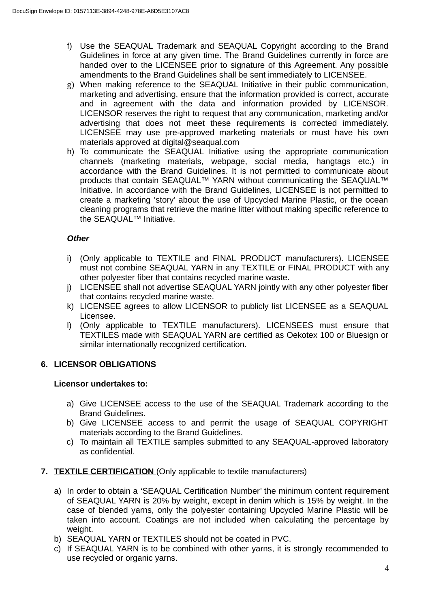- f) Use the SEAQUAL Trademark and SEAQUAL Copyright according to the Brand Guidelines in force at any given time. The Brand Guidelines currently in force are handed over to the LICENSEE prior to signature of this Agreement. Any possible amendments to the Brand Guidelines shall be sent immediately to LICENSEE.
- g) When making reference to the SEAQUAL Initiative in their public communication, marketing and advertising, ensure that the information provided is correct, accurate and in agreement with the data and information provided by LICENSOR. LICENSOR reserves the right to request that any communication, marketing and/or advertising that does not meet these requirements is corrected immediately. LICENSEE may use pre-approved marketing materials or must have his own materials approved at [digital@seaqual.com](mailto:digital@seaqual.com)
- h) To communicate the SEAQUAL Initiative using the appropriate communication channels (marketing materials, webpage, social media, hangtags etc.) in accordance with the Brand Guidelines. It is not permitted to communicate about products that contain SEAQUAL™ YARN without communicating the SEAQUAL™ Initiative. In accordance with the Brand Guidelines, LICENSEE is not permitted to create a marketing 'story' about the use of Upcycled Marine Plastic, or the ocean cleaning programs that retrieve the marine litter without making specific reference to the SEAQUAL™ Initiative.

# *Other*

- i) (Only applicable to TEXTILE and FINAL PRODUCT manufacturers). LICENSEE must not combine SEAQUAL YARN in any TEXTILE or FINAL PRODUCT with any other polyester fiber that contains recycled marine waste.
- j) LICENSEE shall not advertise SEAQUAL YARN jointly with any other polyester fiber that contains recycled marine waste.
- k) LICENSEE agrees to allow LICENSOR to publicly list LICENSEE as a SEAQUAL Licensee.
- l) (Only applicable to TEXTILE manufacturers). LICENSEES must ensure that TEXTILES made with SEAQUAL YARN are certified as Oekotex 100 or Bluesign or similar internationally recognized certification.

# **6. LICENSOR OBLIGATIONS**

#### **Licensor undertakes to:**

- a) Give LICENSEE access to the use of the SEAQUAL Trademark according to the Brand Guidelines.
- b) Give LICENSEE access to and permit the usage of SEAQUAL COPYRIGHT materials according to the Brand Guidelines.
- c) To maintain all TEXTILE samples submitted to any SEAQUAL-approved laboratory as confidential.
- **7. TEXTILE CERTIFICATION (Only applicable to textile manufacturers)** 
	- a) In order to obtain a 'SEAQUAL Certification Number' the minimum content requirement of SEAQUAL YARN is 20% by weight, except in denim which is 15% by weight. In the case of blended yarns, only the polyester containing Upcycled Marine Plastic will be taken into account. Coatings are not included when calculating the percentage by weight.
	- b) SEAQUAL YARN or TEXTILES should not be coated in PVC.
	- c) If SEAQUAL YARN is to be combined with other yarns, it is strongly recommended to use recycled or organic yarns.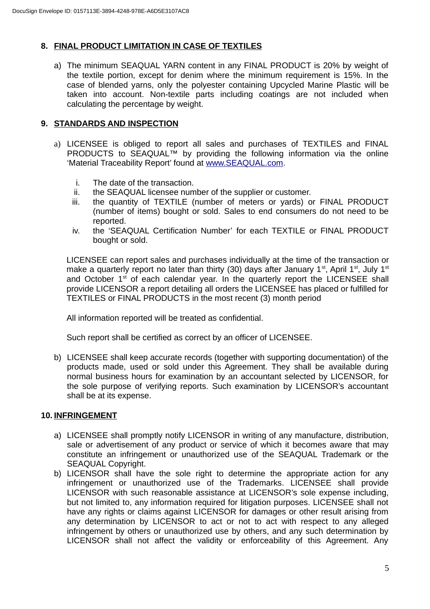# **8. FINAL PRODUCT LIMITATION IN CASE OF TEXTILES**

a) The minimum SEAQUAL YARN content in any FINAL PRODUCT is 20% by weight of the textile portion, except for denim where the minimum requirement is 15%. In the case of blended yarns, only the polyester containing Upcycled Marine Plastic will be taken into account. Non-textile parts including coatings are not included when calculating the percentage by weight.

# **9. STANDARDS AND INSPECTION**

- a) LICENSEE is obliged to report all sales and purchases of TEXTILES and FINAL PRODUCTS to SEAQUAL™ by providing the following information via the online 'Material Traceability Report' found at [www.SEAQUAL.com](http://www.SEAQUAL.com/).
	- i. The date of the transaction.
	- ii. the SEAQUAL licensee number of the supplier or customer.
	- iii. the quantity of TEXTILE (number of meters or yards) or FINAL PRODUCT (number of items) bought or sold. Sales to end consumers do not need to be reported.
	- iv. the 'SEAQUAL Certification Number' for each TEXTILE or FINAL PRODUCT bought or sold.

LICENSEE can report sales and purchases individually at the time of the transaction or make a quarterly report no later than thirty (30) days after January  $1<sup>st</sup>$ , April  $1<sup>st</sup>$ , July  $1<sup>st</sup>$ and October  $1<sup>st</sup>$  of each calendar year. In the quarterly report the LICENSEE shall provide LICENSOR a report detailing all orders the LICENSEE has placed or fulfilled for TEXTILES or FINAL PRODUCTS in the most recent (3) month period

All information reported will be treated as confidential.

Such report shall be certified as correct by an officer of LICENSEE.

b) LICENSEE shall keep accurate records (together with supporting documentation) of the products made, used or sold under this Agreement. They shall be available during normal business hours for examination by an accountant selected by LICENSOR, for the sole purpose of verifying reports. Such examination by LICENSOR's accountant shall be at its expense.

# **10. INFRINGEMENT**

- a) LICENSEE shall promptly notify LICENSOR in writing of any manufacture, distribution, sale or advertisement of any product or service of which it becomes aware that may constitute an infringement or unauthorized use of the SEAQUAL Trademark or the SEAQUAL Copyright.
- b) LICENSOR shall have the sole right to determine the appropriate action for any infringement or unauthorized use of the Trademarks. LICENSEE shall provide LICENSOR with such reasonable assistance at LICENSOR's sole expense including, but not limited to, any information required for litigation purposes. LICENSEE shall not have any rights or claims against LICENSOR for damages or other result arising from any determination by LICENSOR to act or not to act with respect to any alleged infringement by others or unauthorized use by others, and any such determination by LICENSOR shall not affect the validity or enforceability of this Agreement. Any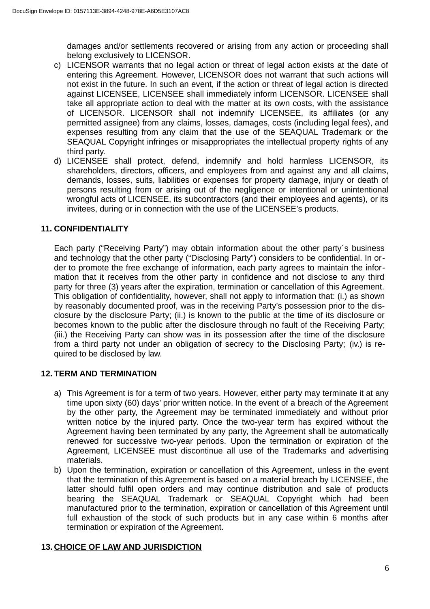damages and/or settlements recovered or arising from any action or proceeding shall belong exclusively to LICENSOR.

- c) LICENSOR warrants that no legal action or threat of legal action exists at the date of entering this Agreement. However, LICENSOR does not warrant that such actions will not exist in the future. In such an event, if the action or threat of legal action is directed against LICENSEE, LICENSEE shall immediately inform LICENSOR. LICENSEE shall take all appropriate action to deal with the matter at its own costs, with the assistance of LICENSOR. LICENSOR shall not indemnify LICENSEE, its affiliates (or any permitted assignee) from any claims, losses, damages, costs (including legal fees), and expenses resulting from any claim that the use of the SEAQUAL Trademark or the SEAQUAL Copyright infringes or misappropriates the intellectual property rights of any third party.
- d) LICENSEE shall protect, defend, indemnify and hold harmless LICENSOR, its shareholders, directors, officers, and employees from and against any and all claims, demands, losses, suits, liabilities or expenses for property damage, injury or death of persons resulting from or arising out of the negligence or intentional or unintentional wrongful acts of LICENSEE, its subcontractors (and their employees and agents), or its invitees, during or in connection with the use of the LICENSEE's products.

# **11. CONFIDENTIALITY**

Each party ("Receiving Party") may obtain information about the other party´s business and technology that the other party ("Disclosing Party") considers to be confidential. In order to promote the free exchange of information, each party agrees to maintain the information that it receives from the other party in confidence and not disclose to any third party for three (3) years after the expiration, termination or cancellation of this Agreement. This obligation of confidentiality, however, shall not apply to information that: (i.) as shown by reasonably documented proof, was in the receiving Party's possession prior to the disclosure by the disclosure Party; (ii.) is known to the public at the time of its disclosure or becomes known to the public after the disclosure through no fault of the Receiving Party; (iii.) the Receiving Party can show was in its possession after the time of the disclosure from a third party not under an obligation of secrecy to the Disclosing Party; (iv.) is required to be disclosed by law.

# **12. TERM AND TERMINATION**

- a) This Agreement is for a term of two years. However, either party may terminate it at any time upon sixty (60) days' prior written notice. In the event of a breach of the Agreement by the other party, the Agreement may be terminated immediately and without prior written notice by the injured party. Once the two-year term has expired without the Agreement having been terminated by any party, the Agreement shall be automatically renewed for successive two-year periods. Upon the termination or expiration of the Agreement, LICENSEE must discontinue all use of the Trademarks and advertising materials.
- b) Upon the termination, expiration or cancellation of this Agreement, unless in the event that the termination of this Agreement is based on a material breach by LICENSEE, the latter should fulfil open orders and may continue distribution and sale of products bearing the SEAQUAL Trademark or SEAQUAL Copyright which had been manufactured prior to the termination, expiration or cancellation of this Agreement until full exhaustion of the stock of such products but in any case within 6 months after termination or expiration of the Agreement.

# **13. CHOICE OF LAW AND JURISDICTION**